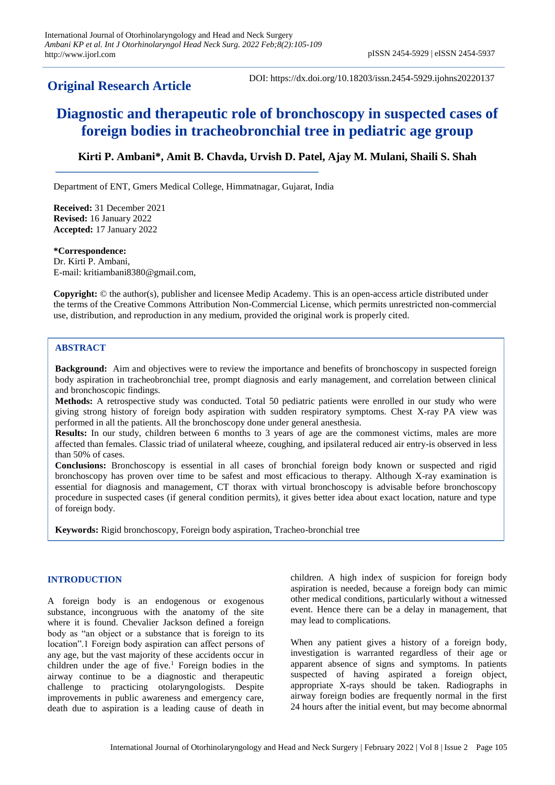## **Original Research Article**

DOI: https://dx.doi.org/10.18203/issn.2454-5929.ijohns20220137

# **Diagnostic and therapeutic role of bronchoscopy in suspected cases of foreign bodies in tracheobronchial tree in pediatric age group**

## **Kirti P. Ambani\*, Amit B. Chavda, Urvish D. Patel, Ajay M. Mulani, Shaili S. Shah**

Department of ENT, Gmers Medical College, Himmatnagar, Gujarat, India

**Received:** 31 December 2021 **Revised:** 16 January 2022 **Accepted:** 17 January 2022

**\*Correspondence:** Dr. Kirti P. Ambani, E-mail: kritiambani8380@gmail.com,

**Copyright:** © the author(s), publisher and licensee Medip Academy. This is an open-access article distributed under the terms of the Creative Commons Attribution Non-Commercial License, which permits unrestricted non-commercial use, distribution, and reproduction in any medium, provided the original work is properly cited.

## **ABSTRACT**

**Background:** Aim and objectives were to review the importance and benefits of bronchoscopy in suspected foreign body aspiration in tracheobronchial tree, prompt diagnosis and early management, and correlation between clinical and bronchoscopic findings.

**Methods:** A retrospective study was conducted. Total 50 pediatric patients were enrolled in our study who were giving strong history of foreign body aspiration with sudden respiratory symptoms. Chest X-ray PA view was performed in all the patients. All the bronchoscopy done under general anesthesia.

**Results:** In our study, children between 6 months to 3 years of age are the commonest victims, males are more affected than females. Classic triad of unilateral wheeze, coughing, and ipsilateral reduced air entry-is observed in less than 50% of cases.

**Conclusions:** Bronchoscopy is essential in all cases of bronchial foreign body known or suspected and rigid bronchoscopy has proven over time to be safest and most efficacious to therapy. Although X-ray examination is essential for diagnosis and management, CT thorax with virtual bronchoscopy is advisable before bronchoscopy procedure in suspected cases (if general condition permits), it gives better idea about exact location, nature and type of foreign body.

**Keywords:** Rigid bronchoscopy, Foreign body aspiration, Tracheo-bronchial tree

## **INTRODUCTION**

A foreign body is an endogenous or exogenous substance, incongruous with the anatomy of the site where it is found. Chevalier Jackson defined a foreign body as "an object or a substance that is foreign to its location".1 Foreign body aspiration can affect persons of any age, but the vast majority of these accidents occur in children under the age of five.<sup>1</sup> Foreign bodies in the airway continue to be a diagnostic and therapeutic challenge to practicing otolaryngologists. Despite improvements in public awareness and emergency care, death due to aspiration is a leading cause of death in children. A high index of suspicion for foreign body aspiration is needed, because a foreign body can mimic other medical conditions, particularly without a witnessed event. Hence there can be a delay in management, that may lead to complications.

When any patient gives a history of a foreign body, investigation is warranted regardless of their age or apparent absence of signs and symptoms. In patients suspected of having aspirated a foreign object, appropriate X-rays should be taken. Radiographs in airway foreign bodies are frequently normal in the first 24 hours after the initial event, but may become abnormal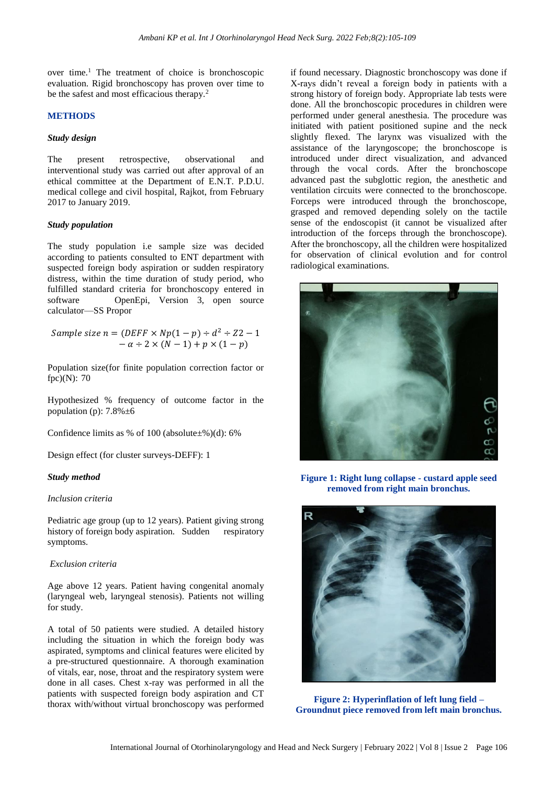over time.<sup>1</sup> The treatment of choice is bronchoscopic evaluation. Rigid bronchoscopy has proven over time to be the safest and most efficacious therapy.<sup>2</sup>

#### **METHODS**

#### *Study design*

The present retrospective, observational and interventional study was carried out after approval of an ethical committee at the Department of E.N.T. P.D.U. medical college and civil hospital, Rajkot, from February 2017 to January 2019.

#### *Study population*

The study population i.e sample size was decided according to patients consulted to ENT department with suspected foreign body aspiration or sudden respiratory distress, within the time duration of study period, who fulfilled standard criteria for bronchoscopy entered in software OpenEpi, Version 3, open source calculator—SS Propor

Sample size  $n = (DEF \times Np(1-p) \div d^2 \div Z2 - 1)$  $-\alpha \div 2 \times (N-1) + p \times (1-p)$ 

Population size(for finite population correction factor or fpc)(N): 70

Hypothesized % frequency of outcome factor in the population (p):  $7.8\% \pm 6$ 

Confidence limits as % of 100 (absolute $\pm$ %)(d): 6%

Design effect (for cluster surveys-DEFF): 1

#### *Study method*

#### *Inclusion criteria*

Pediatric age group (up to 12 years). Patient giving strong history of foreign body aspiration. Sudden respiratory symptoms.

#### *Exclusion criteria*

Age above 12 years. Patient having congenital anomaly (laryngeal web, laryngeal stenosis). Patients not willing for study.

A total of 50 patients were studied. A detailed history including the situation in which the foreign body was aspirated, symptoms and clinical features were elicited by a pre-structured questionnaire. A thorough examination of vitals, ear, nose, throat and the respiratory system were done in all cases. Chest x-ray was performed in all the patients with suspected foreign body aspiration and CT thorax with/without virtual bronchoscopy was performed if found necessary. Diagnostic bronchoscopy was done if X-rays didn't reveal a foreign body in patients with a strong history of foreign body. Appropriate lab tests were done. All the bronchoscopic procedures in children were performed under general anesthesia. The procedure was initiated with patient positioned supine and the neck slightly flexed. The larynx was visualized with the assistance of the laryngoscope; the bronchoscope is introduced under direct visualization, and advanced through the vocal cords. After the bronchoscope advanced past the subglottic region, the anesthetic and ventilation circuits were connected to the bronchoscope. Forceps were introduced through the bronchoscope, grasped and removed depending solely on the tactile sense of the endoscopist (it cannot be visualized after introduction of the forceps through the bronchoscope). After the bronchoscopy, all the children were hospitalized for observation of clinical evolution and for control radiological examinations.



**Figure 1: Right lung collapse - custard apple seed removed from right main bronchus.**



**Figure 2: Hyperinflation of left lung field – Groundnut piece removed from left main bronchus.**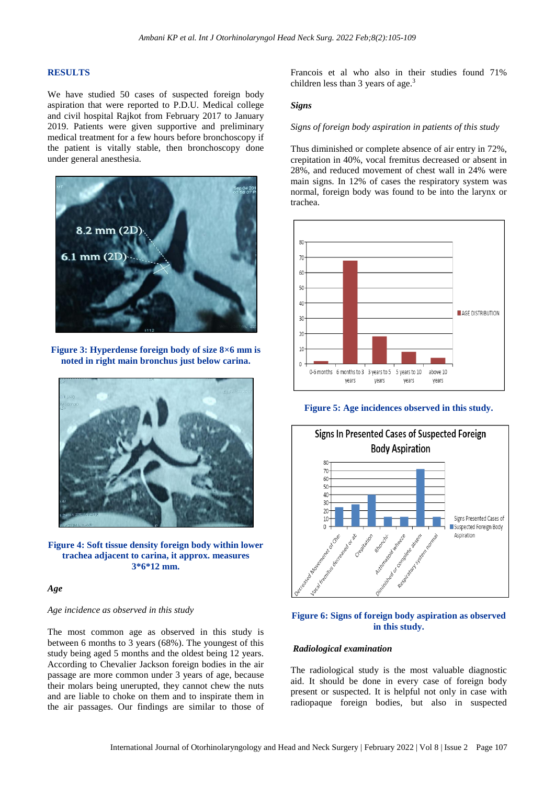#### **RESULTS**

We have studied 50 cases of suspected foreign body aspiration that were reported to P.D.U. Medical college and civil hospital Rajkot from February 2017 to January 2019. Patients were given supportive and preliminary medical treatment for a few hours before bronchoscopy if the patient is vitally stable, then bronchoscopy done under general anesthesia.



**Figure 3: Hyperdense foreign body of size 8×6 mm is noted in right main bronchus just below carina.**



**Figure 4: Soft tissue density foreign body within lower trachea adjacent to carina, it approx. measures 3\*6\*12 mm.**

#### *Age*

## *Age incidence as observed in this study*

The most common age as observed in this study is between 6 months to 3 years (68%). The youngest of this study being aged 5 months and the oldest being 12 years. According to Chevalier Jackson foreign bodies in the air passage are more common under 3 years of age, because their molars being unerupted, they cannot chew the nuts and are liable to choke on them and to inspirate them in the air passages. Our findings are similar to those of

Francois et al who also in their studies found 71% children less than 3 years of age.<sup>3</sup>

#### *Signs*

#### *Signs of foreign body aspiration in patients of this study*

Thus diminished or complete absence of air entry in 72%, crepitation in 40%, vocal fremitus decreased or absent in 28%, and reduced movement of chest wall in 24% were main signs. In 12% of cases the respiratory system was normal, foreign body was found to be into the larynx or trachea.



**Figure 5: Age incidences observed in this study.**



## **Figure 6: Signs of foreign body aspiration as observed in this study.**

#### *Radiological examination*

The radiological study is the most valuable diagnostic aid. It should be done in every case of foreign body present or suspected. It is helpful not only in case with radiopaque foreign bodies, but also in suspected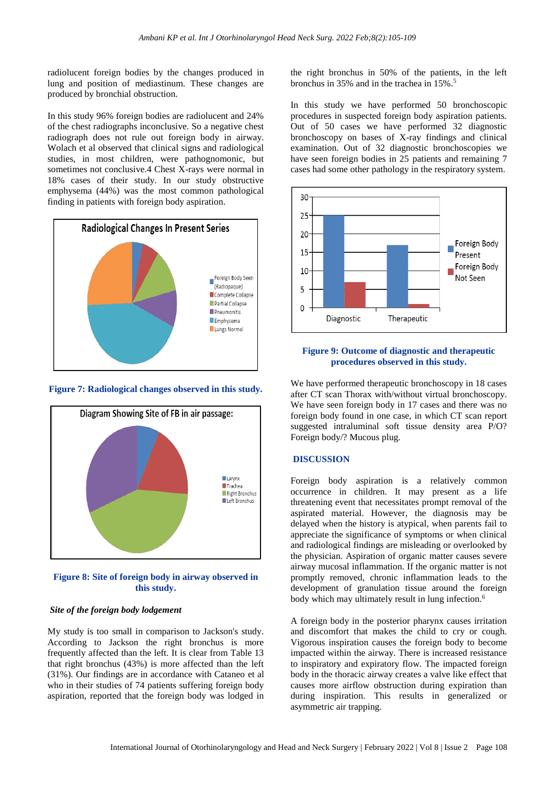radiolucent foreign bodies by the changes produced in lung and position of mediastinum. These changes are produced by bronchial obstruction.

In this study 96% foreign bodies are radiolucent and 24% of the chest radiographs inconclusive. So a negative chest radiograph does not rule out foreign body in airway. Wolach et al observed that clinical signs and radiological studies, in most children, were pathognomonic, but sometimes not conclusive.4 Chest X-rays were normal in 18% cases of their study. In our study obstructive emphysema (44%) was the most common pathological finding in patients with foreign body aspiration.



**Figure 7: Radiological changes observed in this study.**



## **Figure 8: Site of foreign body in airway observed in this study.**

## *Site of the foreign body lodgement*

My study is too small in comparison to Jackson's study. According to Jackson the right bronchus is more frequently affected than the left. It is clear from Table 13 that right bronchus (43%) is more affected than the left (31%). Our findings are in accordance with Cataneo et al who in their studies of 74 patients suffering foreign body aspiration, reported that the foreign body was lodged in the right bronchus in 50% of the patients, in the left bronchus in 35% and in the trachea in 15%.<sup>5</sup>

In this study we have performed 50 bronchoscopic procedures in suspected foreign body aspiration patients. Out of 50 cases we have performed 32 diagnostic bronchoscopy on bases of X-ray findings and clinical examination. Out of 32 diagnostic bronchoscopies we have seen foreign bodies in 25 patients and remaining 7 cases had some other pathology in the respiratory system.



## **Figure 9: Outcome of diagnostic and therapeutic procedures observed in this study.**

We have performed therapeutic bronchoscopy in 18 cases after CT scan Thorax with/without virtual bronchoscopy. We have seen foreign body in 17 cases and there was no foreign body found in one case, in which CT scan report suggested intraluminal soft tissue density area P/O? Foreign body/? Mucous plug.

## **DISCUSSION**

Foreign body aspiration is a relatively common occurrence in children. It may present as a life threatening event that necessitates prompt removal of the aspirated material. However, the diagnosis may be delayed when the history is atypical, when parents fail to appreciate the significance of symptoms or when clinical and radiological findings are misleading or overlooked by the physician. Aspiration of organic matter causes severe airway mucosal inflammation. If the organic matter is not promptly removed, chronic inflammation leads to the development of granulation tissue around the foreign body which may ultimately result in lung infection.<sup>6</sup>

A foreign body in the posterior pharynx causes irritation and discomfort that makes the child to cry or cough. Vigorous inspiration causes the foreign body to become impacted within the airway. There is increased resistance to inspiratory and expiratory flow. The impacted foreign body in the thoracic airway creates a valve like effect that causes more airflow obstruction during expiration than during inspiration. This results in generalized or asymmetric air trapping.